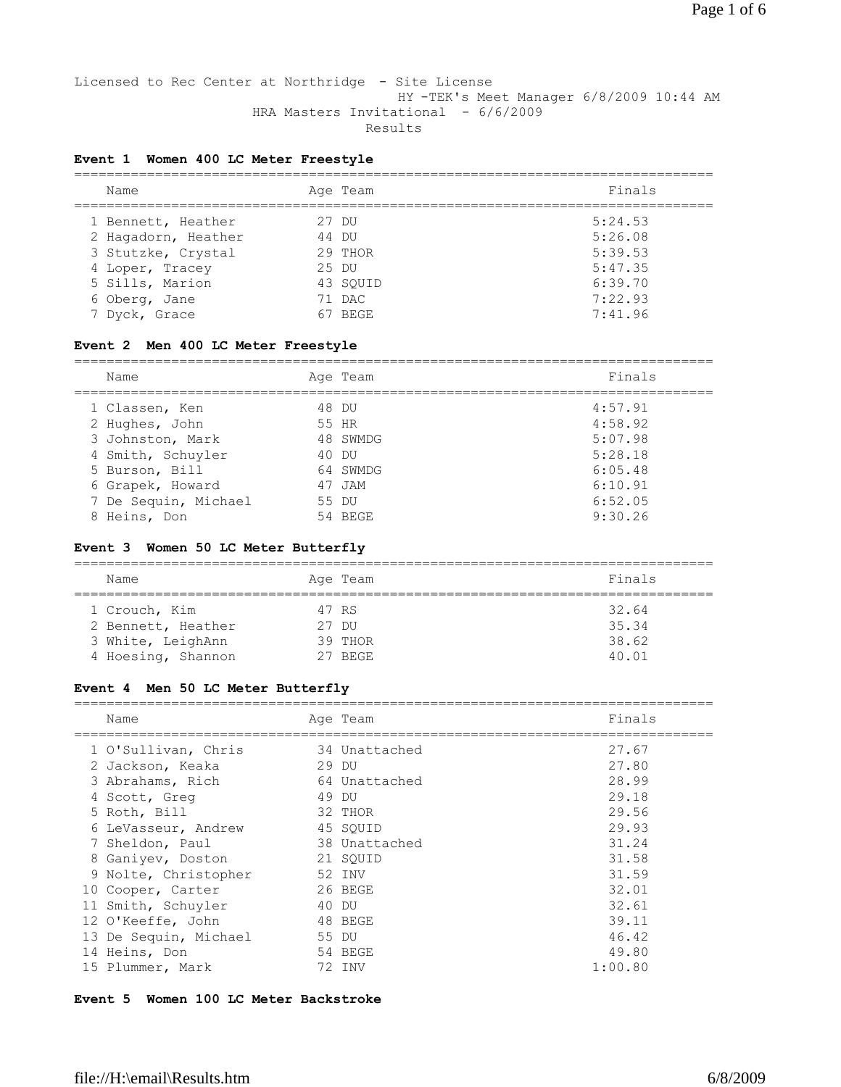Licensed to Rec Center at Northridge - Site License HY -TEK's Meet Manager 6/8/2009 10:44 AM HRA Masters Invitational - 6/6/2009 Results

### **Event 1 Women 400 LC Meter Freestyle**

| Name          |                     |       | Age Team | Finals  |
|---------------|---------------------|-------|----------|---------|
|               | 1 Bennett, Heather  |       | 27 DU    | 5:24.53 |
|               | 2 Hagadorn, Heather |       | 44 DU    | 5:26.08 |
|               | 3 Stutzke, Crystal  |       | 29 THOR  | 5:39.53 |
|               | 4 Loper, Tracey     | 25 DU |          | 5:47.35 |
|               | 5 Sills, Marion     |       | 43 SOUID | 6:39.70 |
| 6 Oberg, Jane |                     |       | 71 DAC   | 7:22.93 |
| 7 Dyck, Grace |                     |       | BEGE     | 7:41.96 |

#### **Event 2 Men 400 LC Meter Freestyle**

| Name                 | Age Team | Finals  |
|----------------------|----------|---------|
| 1 Classen, Ken       | 48 DU    | 4:57.91 |
| 2 Hughes, John       | 55 HR    | 4:58.92 |
| 3 Johnston, Mark     | 48 SWMDG | 5:07.98 |
| 4 Smith, Schuyler    | 40 DU    | 5:28.18 |
| 5 Burson, Bill       | 64 SWMDG | 6:05.48 |
| 6 Grapek, Howard     | 47 JAM   | 6:10.91 |
| 7 De Sequin, Michael | 55 DU    | 6:52.05 |
| 8 Heins, Don         | 54 BEGE  | 9:30.26 |

#### **Event 3 Women 50 LC Meter Butterfly**

| Name               |       | Age Team | Finals |
|--------------------|-------|----------|--------|
| 1 Crouch, Kim      | 47 RS |          | 32.64  |
| 2 Bennett, Heather | 27 DU |          | 35.34  |
| 3 White, LeighAnn  |       | 39 THOR  | 38.62  |
| 4 Hoesing, Shannon |       | 27 BEGE  | 40.01  |

#### **Event 4 Men 50 LC Meter Butterfly**

| Name                  | Age Team      | Finals  |
|-----------------------|---------------|---------|
| 1 O'Sullivan, Chris   | 34 Unattached | 27.67   |
| 2 Jackson, Keaka      | 29 DU         | 27.80   |
| 3 Abrahams, Rich      | 64 Unattached | 28.99   |
| 4 Scott, Greq         | 49 DU         | 29.18   |
| 5 Roth, Bill          | 32 THOR       | 29.56   |
| 6 LeVasseur, Andrew   | 45 SOUID      | 29.93   |
| 7 Sheldon, Paul       | 38 Unattached | 31.24   |
| 8 Ganiyev, Doston     | 21 SOUID      | 31.58   |
| 9 Nolte, Christopher  | 52 INV        | 31.59   |
| 10 Cooper, Carter     | 26 BEGE       | 32.01   |
| 11 Smith, Schuyler    | 40 DU         | 32.61   |
| 12 O'Keeffe, John     | 48 BEGE       | 39.11   |
| 13 De Sequin, Michael | 55 DU         | 46.42   |
| 14 Heins, Don         | 54 BEGE       | 49.80   |
| 15 Plummer, Mark      | 72 INV        | 1:00.80 |

#### **Event 5 Women 100 LC Meter Backstroke**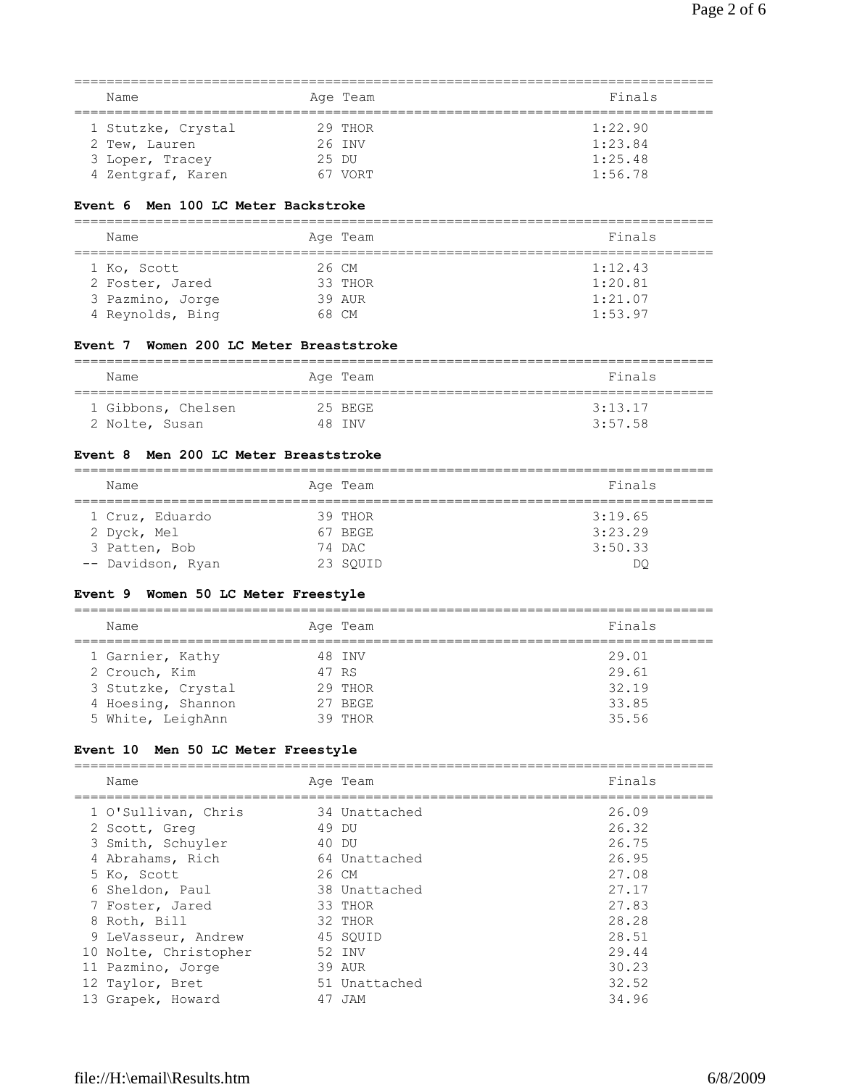| Name               | Age Team  | Finals  |
|--------------------|-----------|---------|
| 1 Stutzke, Crystal | $29$ THOR | 1:22.90 |
| 2 Tew, Lauren      | 26 INV    | 1:23.84 |
| 3 Loper, Tracey    | 25 DU     | 1:25.48 |
| 4 Zentgraf, Karen  | 67 VORT   | 1:56.78 |

#### **Event 6 Men 100 LC Meter Backstroke**

| Name             | Age Team | Finals  |
|------------------|----------|---------|
| 1 Ko, Scott      | 26 CM    | 1:12.43 |
| 2 Foster, Jared  | 33 THOR  | 1:20.81 |
| 3 Pazmino, Jorge | 39 AUR   | 1:21.07 |
| 4 Reynolds, Bing | 68 CM    | 1:53.97 |

#### **Event 7 Women 200 LC Meter Breaststroke**

| Name               | Age Team | Finals  |
|--------------------|----------|---------|
| 1 Gibbons, Chelsen | 25 BEGE  | 3:13.17 |
| 2 Nolte, Susan     | 48 TNV   | 3:57.58 |

### **Event 8 Men 200 LC Meter Breaststroke**

| Name              | Age Team | Finals  |
|-------------------|----------|---------|
| 1 Cruz, Eduardo   | 39 THOR  | 3:19.65 |
| 2 Dyck, Mel       | 67 BEGE  | 3:23.29 |
| 3 Patten, Bob     | 74 DAC   | 3:50.33 |
| -- Davidson, Ryan | 23 SOUID | DC      |

#### **Event 9 Women 50 LC Meter Freestyle**

| Name               | Age Team | Finals |
|--------------------|----------|--------|
| 1 Garnier, Kathy   | 48 INV   | 29.01  |
| 2 Crouch, Kim      | 47 RS    | 29.61  |
| 3 Stutzke, Crystal | 29 THOR  | 32.19  |
| 4 Hoesing, Shannon | 27 BEGE  | 33.85  |
| 5 White, LeighAnn  | 39 THOR  | 35.56  |

#### **Event 10 Men 50 LC Meter Freestyle**

| Name                  | Age Team      | Finals |
|-----------------------|---------------|--------|
| 1 O'Sullivan, Chris   | 34 Unattached | 26.09  |
| 2 Scott, Greg         | 49 DU         | 26.32  |
| 3 Smith, Schuyler     | 40 DU         | 26.75  |
| 4 Abrahams, Rich      | 64 Unattached | 26.95  |
| 5 Ko, Scott           | 26 CM         | 27.08  |
| 6 Sheldon, Paul       | 38 Unattached | 27.17  |
| 7 Foster, Jared       | 33 THOR       | 27.83  |
| 8 Roth, Bill          | 32 THOR       | 28.28  |
| 9 LeVasseur, Andrew   | 45 SOUID      | 28.51  |
| 10 Nolte, Christopher | 52 INV        | 29.44  |
| 11 Pazmino, Jorge     | 39 AUR        | 30.23  |
| 12 Taylor, Bret       | 51 Unattached | 32.52  |
| 13 Grapek, Howard     | 47 JAM        | 34.96  |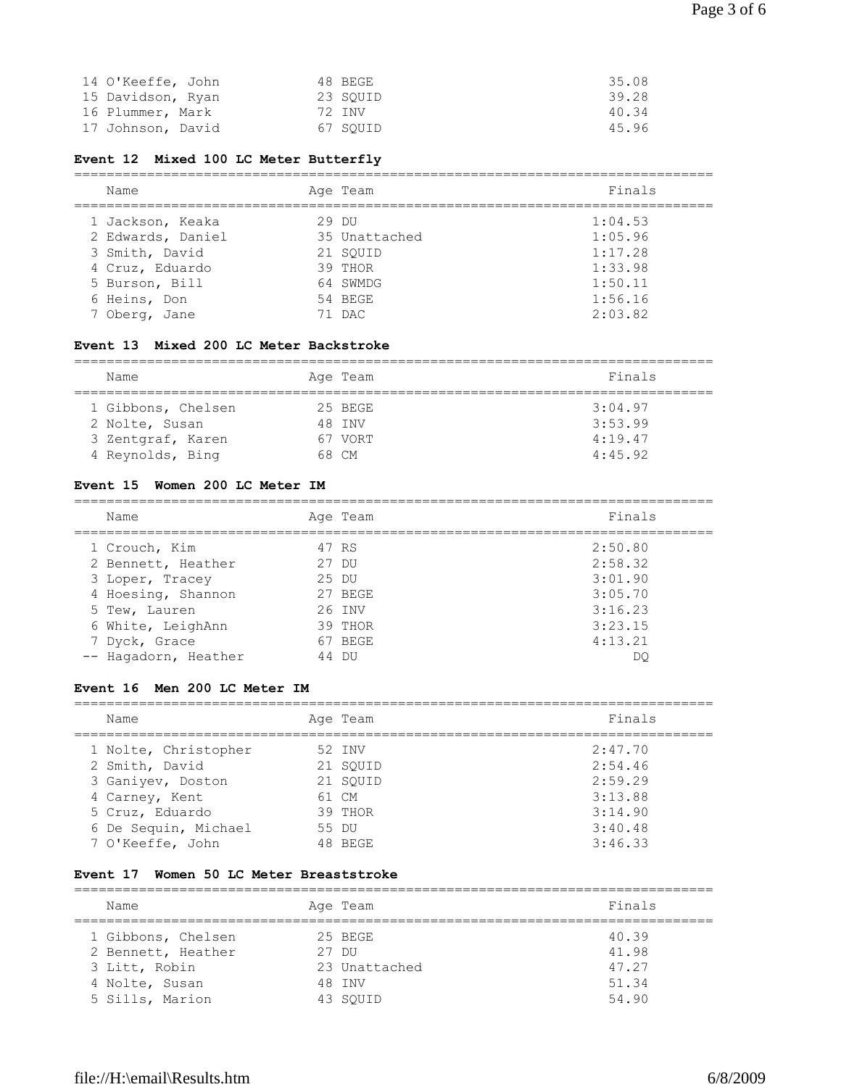| 14 O'Keeffe, John | 48 BEGE  | 35.08 |
|-------------------|----------|-------|
| 15 Davidson, Ryan | 23 SOUID | 39.28 |
| 16 Plummer, Mark  | 72 TNV   | 40.34 |
| 17 Johnson, David | 67 SOUID | 45.96 |

## **Event 12 Mixed 100 LC Meter Butterfly**

| Name              |       | Age Team      | Finals  |
|-------------------|-------|---------------|---------|
| 1 Jackson, Keaka  | 29 DU |               | 1:04.53 |
| 2 Edwards, Daniel |       | 35 Unattached | 1:05.96 |
| 3 Smith, David    |       | 21 SOUID      | 1:17.28 |
| 4 Cruz, Eduardo   |       | 39 THOR       | 1:33.98 |
| 5 Burson, Bill    |       | 64 SWMDG      | 1:50.11 |
| 6 Heins, Don      |       | 54 BEGE       | 1:56.16 |
| 7 Oberg, Jane     |       | 71 DAC        | 2:03.82 |

#### **Event 13 Mixed 200 LC Meter Backstroke**

| Name               | Age Team | Finals  |
|--------------------|----------|---------|
| 1 Gibbons, Chelsen | 25 BEGE  | 3:04.97 |
| 2 Nolte, Susan     | 48 INV   | 3:53.99 |
| 3 Zentgraf, Karen  | 67 VORT  | 4:19.47 |
| 4 Reynolds, Bing   | 68 CM    | 4:45.92 |

### **Event 15 Women 200 LC Meter IM**

| Name                 | Age Team | Finals  |
|----------------------|----------|---------|
| 1 Crouch, Kim        | 47 RS    | 2:50.80 |
| 2 Bennett, Heather   | 27 DU    | 2:58.32 |
| 3 Loper, Tracey      | 25 DU    | 3:01.90 |
| 4 Hoesing, Shannon   | 27 BEGE  | 3:05.70 |
| 5 Tew, Lauren        | 26 INV   | 3:16.23 |
| 6 White, LeighAnn    | 39 THOR  | 3:23.15 |
| 7 Dyck, Grace        | 67 BEGE  | 4:13.21 |
| -- Hagadorn, Heather | 44 DU    | DC      |

## **Event 16 Men 200 LC Meter IM**

| Name                 | Age Team | Finals  |
|----------------------|----------|---------|
| 1 Nolte, Christopher | 52 INV   | 2:47.70 |
| 2 Smith, David       | 21 SOUID | 2:54.46 |
| 3 Ganiyev, Doston    | 21 SOUID | 2:59.29 |
| 4 Carney, Kent       | 61 CM    | 3:13.88 |
| 5 Cruz, Eduardo      | 39 THOR  | 3:14.90 |
| 6 De Sequin, Michael | 55 DU    | 3:40.48 |
| 7 O'Keeffe, John     | 48 BEGE  | 3:46.33 |

#### **Event 17 Women 50 LC Meter Breaststroke**

| Name               | Age Team      | Finals |
|--------------------|---------------|--------|
| 1 Gibbons, Chelsen | 25 BEGE       | 40.39  |
| 2 Bennett, Heather | 27 DU         | 41.98  |
| 3 Litt, Robin      | 23 Unattached | 47.27  |
| 4 Nolte, Susan     | 48 TNV        | 51.34  |
| 5 Sills, Marion    | 43 SOUID      | 54.90  |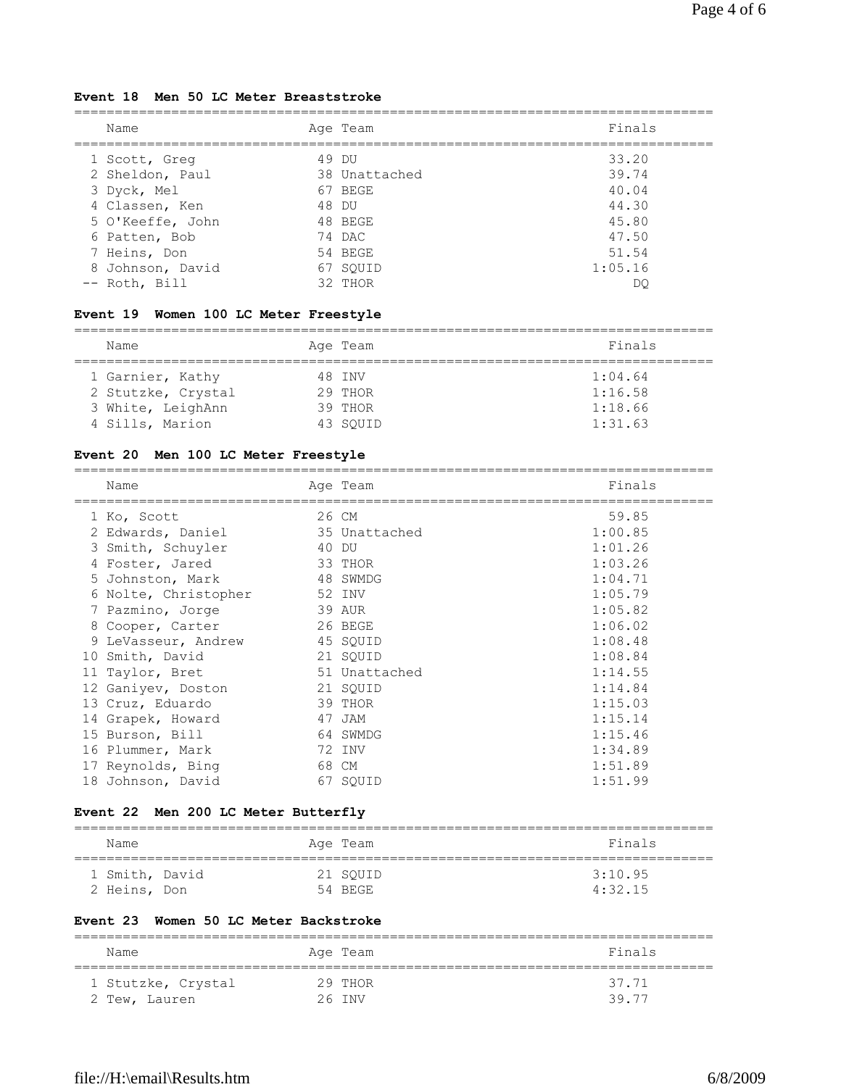### **Event 18 Men 50 LC Meter Breaststroke**

| Name             | Age Team      | Finals  |
|------------------|---------------|---------|
| 1 Scott, Greg    | 49 DU         | 33.20   |
| 2 Sheldon, Paul  | 38 Unattached | 39.74   |
| 3 Dyck, Mel      | 67 BEGE       | 40.04   |
| 4 Classen, Ken   | 48 DU         | 44.30   |
| 5 O'Keeffe, John | 48 BEGE       | 45.80   |
| 6 Patten, Bob    | 74 DAC        | 47.50   |
| 7 Heins, Don     | 54 BEGE       | 51.54   |
| 8 Johnson, David | 67 SOUID      | 1:05.16 |
| -- Roth, Bill    | 32 THOR       | DC      |

## **Event 19 Women 100 LC Meter Freestyle**

| Name               | Age Team | Finals  |
|--------------------|----------|---------|
| 1 Garnier, Kathy   | 48 INV   | 1:04.64 |
| 2 Stutzke, Crystal | 29 THOR  | 1:16.58 |
| 3 White, LeighAnn  | 39 THOR  | 1:18.66 |
| 4 Sills, Marion    | 43 SOUID | 1:31.63 |

## **Event 20 Men 100 LC Meter Freestyle**

| Name                 | Age Team      | Finals  |
|----------------------|---------------|---------|
| 1 Ko, Scott          | 26 CM         | 59.85   |
| 2 Edwards, Daniel    | 35 Unattached | 1:00.85 |
| 3 Smith, Schuyler    | 40 DU         | 1:01.26 |
| 4 Foster, Jared      | 33 THOR       | 1:03.26 |
| 5 Johnston, Mark     | 48 SWMDG      | 1:04.71 |
| 6 Nolte, Christopher | 52 INV        | 1:05.79 |
| 7 Pazmino, Jorge     | 39 AUR        | 1:05.82 |
| 8 Cooper, Carter     | 26 BEGE       | 1:06.02 |
| 9 LeVasseur, Andrew  | 45 SQUID      | 1:08.48 |
| 10 Smith, David      | 21 SOUID      | 1:08.84 |
| 11 Taylor, Bret      | 51 Unattached | 1:14.55 |
| 12 Ganiyev, Doston   | 21 SOUID      | 1:14.84 |
| 13 Cruz, Eduardo     | 39 THOR       | 1:15.03 |
| 14 Grapek, Howard    | 47 JAM        | 1:15.14 |
| 15 Burson, Bill      | 64 SWMDG      | 1:15.46 |
| 16 Plummer, Mark     | 72 INV        | 1:34.89 |
| 17 Reynolds, Bing    | 68 CM         | 1:51.89 |
| 18 Johnson, David    | 67 SOUID      | 1:51.99 |

## **Event 22 Men 200 LC Meter Butterfly**

| Name                           |  | Age Team            | Finals             |
|--------------------------------|--|---------------------|--------------------|
| 1 Smith, David<br>2 Heins, Don |  | 21 SOUID<br>54 BEGE | 3:10.95<br>4:32.15 |

### **Event 23 Women 50 LC Meter Backstroke**

| Name               | Age Team | Finals |
|--------------------|----------|--------|
| 1 Stutzke, Crystal | 29 THOR  | 37.71  |
| 2 Tew, Lauren      | 26 TNV   | 39 77  |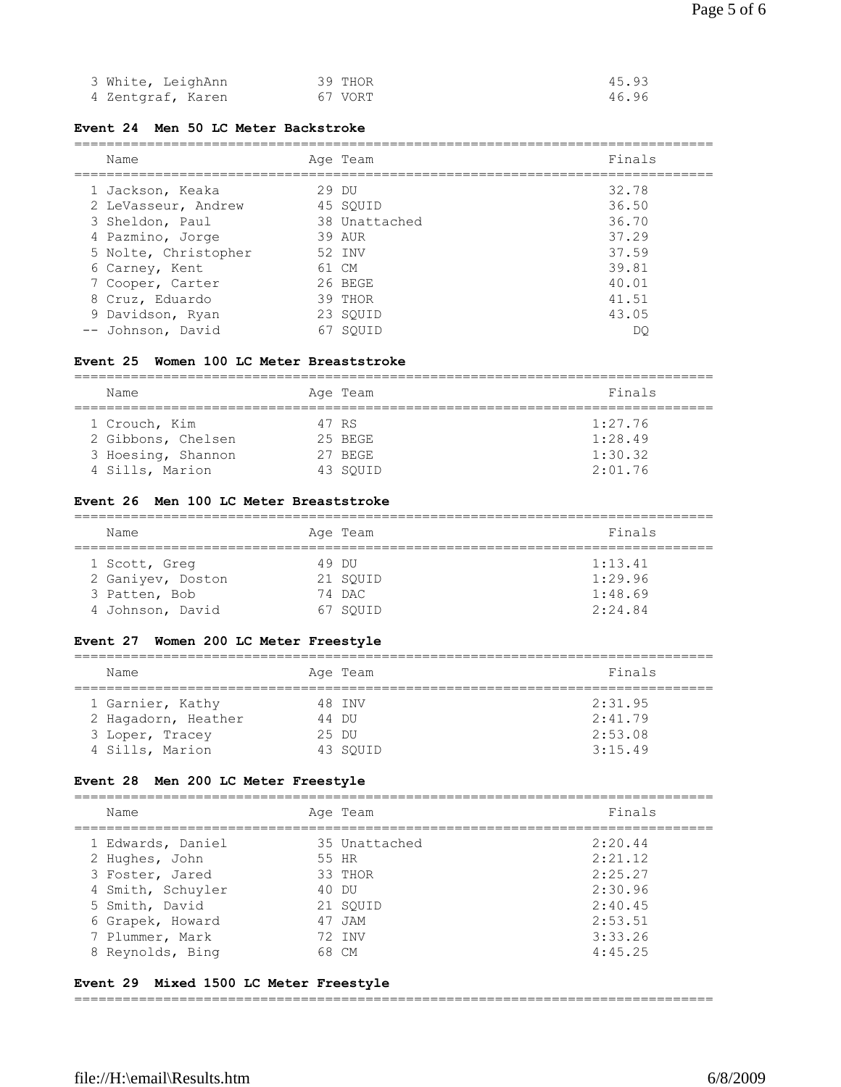| 3 White, LeighAnn | 39 THOR | 45.93 |
|-------------------|---------|-------|
| 4 Zentgraf, Karen | 67 VORT | 46.96 |

#### **Event 24 Men 50 LC Meter Backstroke**

#### ===============================================================================

| Name                 | Age Team      | Finals |
|----------------------|---------------|--------|
| 1 Jackson, Keaka     | 29 DU         | 32.78  |
| 2 LeVasseur, Andrew  | 45 SOUID      | 36.50  |
| 3 Sheldon, Paul      | 38 Unattached | 36.70  |
| 4 Pazmino, Jorge     | 39 AUR        | 37.29  |
| 5 Nolte, Christopher | 52 INV        | 37.59  |
| 6 Carney, Kent       | 61 CM         | 39.81  |
| 7 Cooper, Carter     | 26 BEGE       | 40.01  |
| 8 Cruz, Eduardo      | 39 THOR       | 41.51  |
| 9 Davidson, Ryan     | 23 SOUID      | 43.05  |
| -- Johnson, David    | SOUID<br>67   | DO     |

#### **Event 25 Women 100 LC Meter Breaststroke**

| Name               |  | Age Team | Finals  |  |
|--------------------|--|----------|---------|--|
| 1 Crouch, Kim      |  | 47 RS    | 1:27.76 |  |
| 2 Gibbons, Chelsen |  | 25 BEGE  | 1:28.49 |  |
| 3 Hoesing, Shannon |  | 27 BEGE  | 1:30.32 |  |
| 4 Sills, Marion    |  | 43 SOUID | 2:01.76 |  |

#### **Event 26 Men 100 LC Meter Breaststroke**

| Name              | Age Team | Finals  |  |
|-------------------|----------|---------|--|
| 1 Scott, Greq     | 49 DIJ   | 1:13.41 |  |
| 2 Ganiyev, Doston | 21 SOUID | 1:29.96 |  |
| 3 Patten, Bob     | 74 DAC   | 1:48.69 |  |
| 4 Johnson, David  | 67 SOUID | 2:24.84 |  |

### **Event 27 Women 200 LC Meter Freestyle**

| Name                | Age Team |  | Finals  |
|---------------------|----------|--|---------|
| 1 Garnier, Kathy    | 48 INV   |  | 2:31.95 |
| 2 Hagadorn, Heather | 44 DU    |  | 2:41.79 |
| 3 Loper, Tracey     | 25 DU    |  | 2:53.08 |
| 4 Sills, Marion     | 43 SOUID |  | 3:15.49 |

#### **Event 28 Men 200 LC Meter Freestyle**

| Name              | Age Team      | Finals  |
|-------------------|---------------|---------|
| 1 Edwards, Daniel | 35 Unattached | 2:20.44 |
| 2 Hughes, John    | 55 HR         | 2:21.12 |
| 3 Foster, Jared   | 33 THOR       | 2:25.27 |
| 4 Smith, Schuyler | 40 DU         | 2:30.96 |
| 5 Smith, David    | 21 SOUID      | 2:40.45 |
| 6 Grapek, Howard  | 47 JAM        | 2:53.51 |
| 7 Plummer, Mark   | 72 TNV        | 3:33.26 |
| 8 Reynolds, Bing  | 68 CM         | 4:45.25 |

### **Event 29 Mixed 1500 LC Meter Freestyle**

===============================================================================